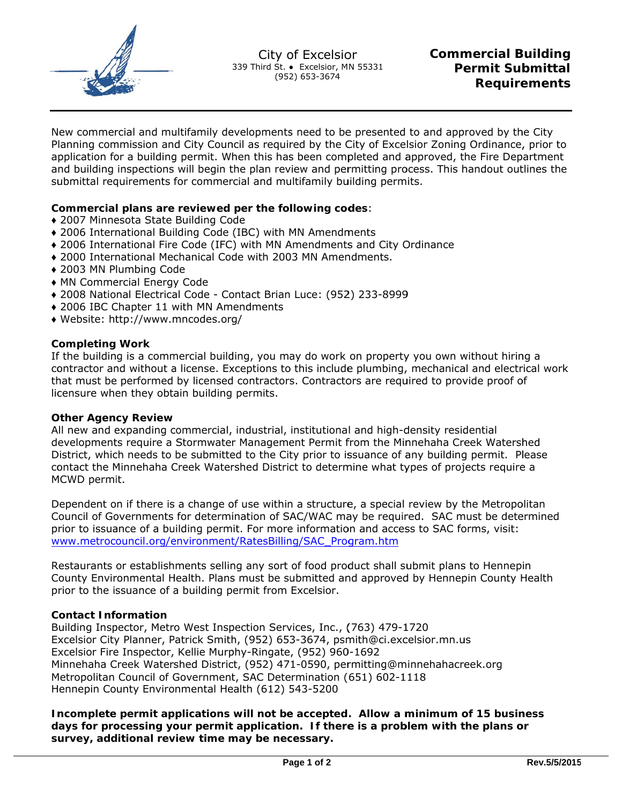

New commercial and multifamily developments need to be presented to and approved by the City Planning commission and City Council as required by the City of Excelsior Zoning Ordinance, prior to application for a building permit. When this has been completed and approved, the Fire Department and building inspections will begin the plan review and permitting process. This handout outlines the submittal requirements for commercial and multifamily building permits.

## Commercial plans are reviewed per the following codes:

- ◆ 2007 Minnesota State Building Code
- ◆ 2006 International Building Code (IBC) with MN Amendments
- ◆ 2006 International Fire Code (IFC) with MN Amendments and City Ordinance
- ♦ 2000 International Mechanical Code with 2003 MN Amendments.
- ◆ 2003 MN Plumbing Code
- MN Commercial Energy Code
- ◆ 2008 National Electrical Code Contact Brian Luce: (952) 233-8999
- ◆ 2006 IBC Chapter 11 with MN Amendments
- ◆ Website: http://www.mncodes.org/

#### **Completing Work**

If the building is a commercial building, you may do work on property you own without hiring a contractor and without a license. Exceptions to this include plumbing, mechanical and electrical work that must be performed by licensed contractors. Contractors are required to provide proof of licensure when they obtain building permits.

### **Other Agency Review**

All new and expanding commercial, industrial, institutional and high-density residential developments require a Stormwater Management Permit from the Minnehaha Creek Watershed District, which needs to be submitted to the City prior to issuance of any building permit. Please contact the Minnehaha Creek Watershed District to determine what types of projects require a MCWD permit.

Dependent on if there is a change of use within a structure, a special review by the Metropolitan Council of Governments for determination of SAC/WAC may be required. SAC must be determined prior to issuance of a building permit. For more information and access to SAC forms, visit: www.metrocouncil.org/environment/RatesBilling/SAC Program.htm

Restaurants or establishments selling any sort of food product shall submit plans to Hennepin County Environmental Health. Plans must be submitted and approved by Hennepin County Health prior to the issuance of a building permit from Excelsior.

#### **Contact Information**

Building Inspector, Metro West Inspection Services, Inc., (763) 479-1720 Excelsior City Planner, Patrick Smith, (952) 653-3674, psmith@ci.excelsior.mn.us Excelsior Fire Inspector, Kellie Murphy-Ringate, (952) 960-1692 Minnehaha Creek Watershed District, (952) 471-0590, permitting@minnehahacreek.org Metropolitan Council of Government, SAC Determination (651) 602-1118 Hennepin County Environmental Health (612) 543-5200

Incomplete permit applications will not be accepted. Allow a minimum of 15 business days for processing your permit application. If there is a problem with the plans or survey, additional review time may be necessary.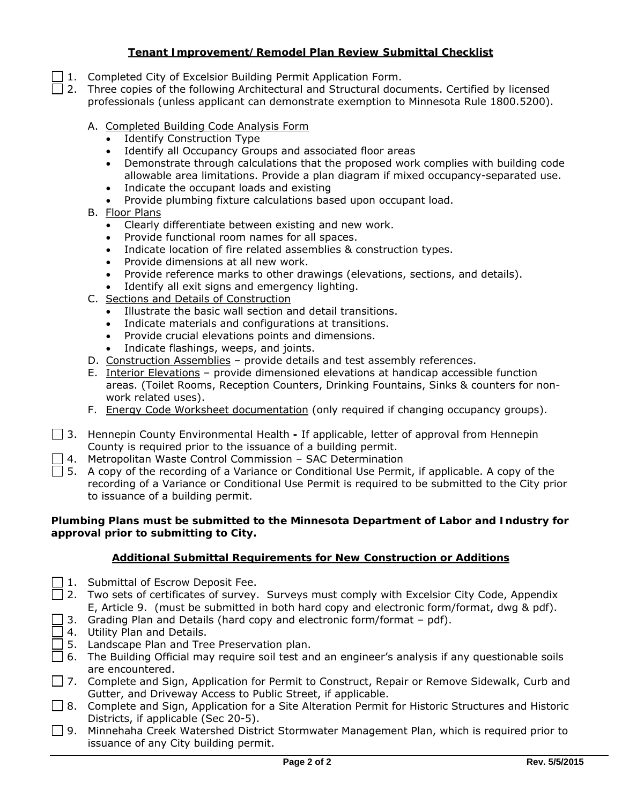# **Tenant Improvement/Remodel Plan Review Submittal Checklist**

- 1. Completed City of Excelsior Building Permit Application Form.
- $\Box$  2. Three copies of the following Architectural and Structural documents. Certified by licensed professionals (unless applicant can demonstrate exemption to Minnesota Rule 1800.5200).
	- A. Completed Building Code Analysis Form
		- Identify Construction Type
		- Identify all Occupancy Groups and associated floor areas
		- Demonstrate through calculations that the proposed work complies with building code allowable area limitations. Provide a plan diagram if mixed occupancy-separated use.
		- Indicate the occupant loads and existing
		- Provide plumbing fixture calculations based upon occupant load.
	- B. Floor Plans
		- Clearly differentiate between existing and new work.
		- Provide functional room names for all spaces.
		- Indicate location of fire related assemblies & construction types.
		- Provide dimensions at all new work.
		- Provide reference marks to other drawings (elevations, sections, and details).
		- Identify all exit signs and emergency lighting.
	- C. Sections and Details of Construction
		- Illustrate the basic wall section and detail transitions.
		- Indicate materials and configurations at transitions.
		- Provide crucial elevations points and dimensions.
		- Indicate flashings, weeps, and joints.
	- D. Construction Assemblies provide details and test assembly references.
	- E. Interior Elevations provide dimensioned elevations at handicap accessible function areas. (Toilet Rooms, Reception Counters, Drinking Fountains, Sinks & counters for nonwork related uses).
	- F. Energy Code Worksheet documentation (only required if changing occupancy groups).
- 3. Hennepin County Environmental Health If applicable, letter of approval from Hennepin County is required prior to the issuance of a building permit.
- $\Box$  4. Metropolitan Waste Control Commission SAC Determination
- $\Box$  5. A copy of the recording of a Variance or Conditional Use Permit, if applicable. A copy of the recording of a Variance or Conditional Use Permit is required to be submitted to the City prior to issuance of a building permit.

## **Plumbing Plans must be submitted to the Minnesota Department of Labor and Industry for approval prior to submitting to City.**

## **Additional Submittal Requirements for New Construction or Additions**

- $\Box$  1. Submittal of Escrow Deposit Fee.
- $\Box$  2. Two sets of certificates of survey. Surveys must comply with Excelsior City Code, Appendix E, Article 9. (must be submitted in both hard copy and electronic form/format, dwg & pdf).
- $\Box$  3. Grading Plan and Details (hard copy and electronic form/format pdf).
- $\Box$  4. Utility Plan and Details.
- $\Box$  5. Landscape Plan and Tree Preservation plan.
- $\Box$  6. The Building Official may require soil test and an engineer's analysis if any questionable soils are encountered.
- □ 7. Complete and Sign, Application for Permit to Construct, Repair or Remove Sidewalk, Curb and Gutter, and Driveway Access to Public Street, if applicable.
- □ 8. Complete and Sign, Application for a Site Alteration Permit for Historic Structures and Historic Districts, if applicable (Sec 20-5).
- $\Box$  9. Minnehaha Creek Watershed District Stormwater Management Plan, which is required prior to issuance of any City building permit.